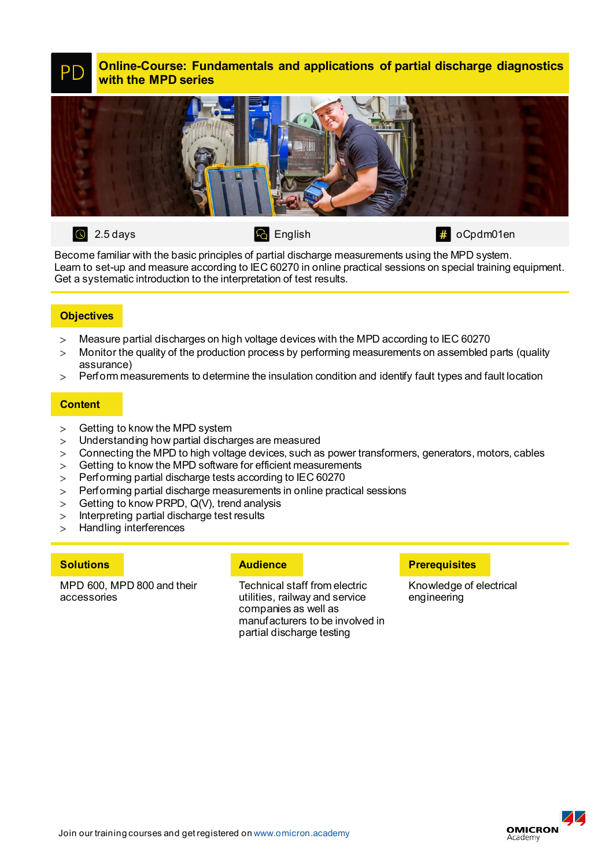**Online-Course: Fundamentals and applications of partial discharge diagnostics** PD **with the MPD series**



 $\overline{Q}$  English  $\overline{4}$  oCpdm01en

Become familiar with the basic principles of partial discharge measurements using the MPD system. Learn to set-up and measure according to IEC 60270 in online practical sessions on special training equipment. Get a systematic introduction to the interpretation of test results.

# **Objectives**

- > Measure partial discharges on high voltage devices with the MPD according to IEC 60270
- > Monitor the quality of the production process by performing measurements on assembled parts (quality assurance)
- > Perform measurements to determine the insulation condition and identify fault types and fault location

## **Content**

- 
- > Getting to know the MPD system<br>> Understanding how partial discha Understanding how partial discharges are measured
- > Connecting the MPD to high voltage devices, such as power transformers, generators, motors, cables
- > Getting to know the MPD software for efficient measurements
- > Performing partial discharge tests according to IEC 60270
- > Performing partial discharge measurements in online practical sessions
- > Getting to know PRPD, Q(V), trend analysis
- > Interpreting partial discharge test results
- > Handling interferences

MPD 600, MPD 800 and their accessories

Technical staff from electric utilities, railway and service companies as well as manufacturers to be involved in partial discharge testing

## **Solutions Audience Preference Preference Preference Preference**

Knowledge of electrical engineering